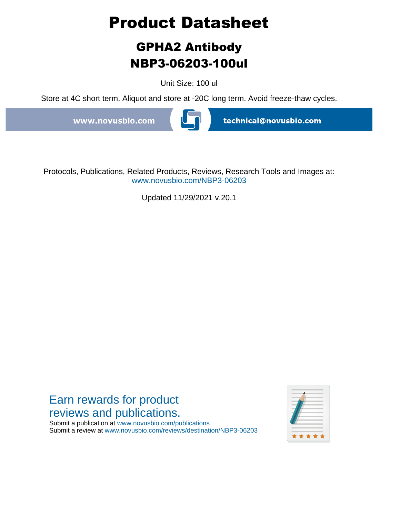# **Product Datasheet**

## **GPHA2 Antibody NBP3-06203-100ul**

Unit Size: 100 ul

Store at 4C short term. Aliquot and store at -20C long term. Avoid freeze-thaw cycles.

www.novusbio.com



technical@novusbio.com

Protocols, Publications, Related Products, Reviews, Research Tools and Images at: www.novusbio.com/NBP3-06203

Updated 11/29/2021 v.20.1

### Earn rewards for product reviews and publications.

Submit a publication at www.novusbio.com/publications Submit a review at www.novusbio.com/reviews/destination/NBP3-06203

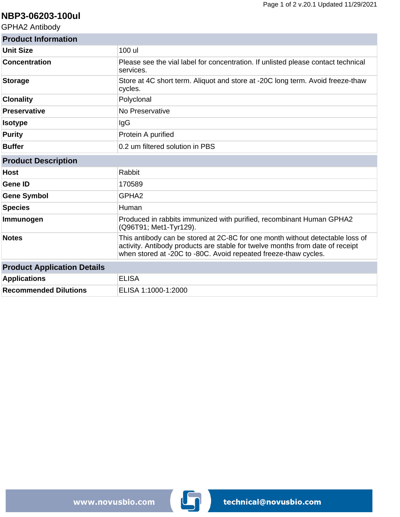#### **NBP3-06203-100ul**

GPHA2 Antibody

| <b>Product Information</b>         |                                                                                                                                                                                                                                   |
|------------------------------------|-----------------------------------------------------------------------------------------------------------------------------------------------------------------------------------------------------------------------------------|
| Unit Size                          | 100 ul                                                                                                                                                                                                                            |
| <b>Concentration</b>               | Please see the vial label for concentration. If unlisted please contact technical<br>services.                                                                                                                                    |
| <b>Storage</b>                     | Store at 4C short term. Aliquot and store at -20C long term. Avoid freeze-thaw<br>cycles.                                                                                                                                         |
| <b>Clonality</b>                   | Polyclonal                                                                                                                                                                                                                        |
| <b>Preservative</b>                | No Preservative                                                                                                                                                                                                                   |
| <b>Isotype</b>                     | IgG                                                                                                                                                                                                                               |
| <b>Purity</b>                      | Protein A purified                                                                                                                                                                                                                |
| <b>Buffer</b>                      | 0.2 um filtered solution in PBS                                                                                                                                                                                                   |
| <b>Product Description</b>         |                                                                                                                                                                                                                                   |
| <b>Host</b>                        | Rabbit                                                                                                                                                                                                                            |
| <b>Gene ID</b>                     | 170589                                                                                                                                                                                                                            |
| <b>Gene Symbol</b>                 | GPHA <sub>2</sub>                                                                                                                                                                                                                 |
| <b>Species</b>                     | Human                                                                                                                                                                                                                             |
| Immunogen                          | Produced in rabbits immunized with purified, recombinant Human GPHA2<br>(Q96T91; Met1-Tyr129).                                                                                                                                    |
| <b>Notes</b>                       | This antibody can be stored at 2C-8C for one month without detectable loss of<br>activity. Antibody products are stable for twelve months from date of receipt<br>when stored at -20C to -80C. Avoid repeated freeze-thaw cycles. |
| <b>Product Application Details</b> |                                                                                                                                                                                                                                   |
| <b>Applications</b>                | <b>ELISA</b>                                                                                                                                                                                                                      |
| <b>Recommended Dilutions</b>       | ELISA 1:1000-1:2000                                                                                                                                                                                                               |